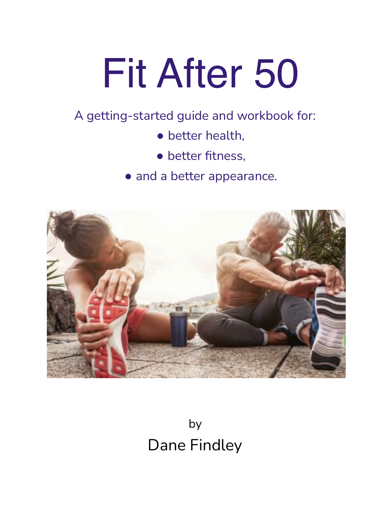# Fit After 50

# A getting-started guide and workbook for:

- better health,
- better fitness,
- and a better appearance.



by Dane Findley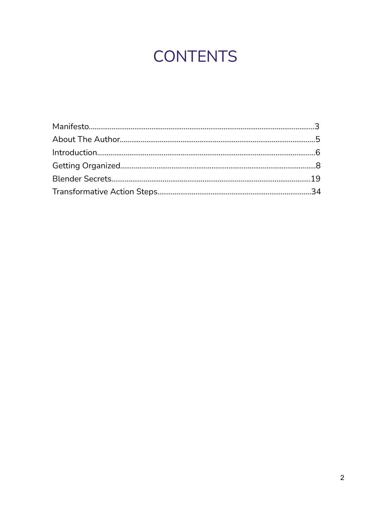# **CONTENTS**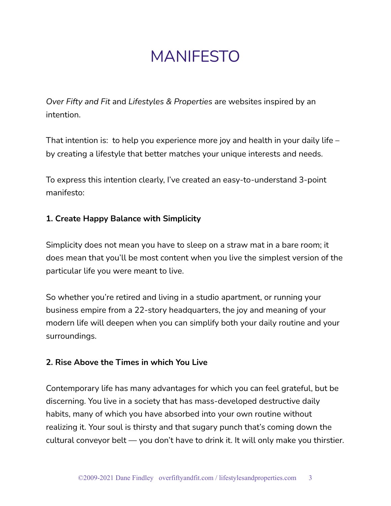# MANIFESTO

*Over Fifty and Fit* and *Lifestyles & Properties* are websites inspired by an intention.

That intention is: to help you experience more joy and health in your daily life – by creating a lifestyle that better matches your unique interests and needs.

To express this intention clearly, I've created an easy-to-understand 3-point manifesto:

# **1. Create Happy Balance with Simplicity**

Simplicity does not mean you have to sleep on a straw mat in a bare room; it does mean that you'll be most content when you live the simplest version of the particular life you were meant to live.

So whether you're retired and living in a studio apartment, or running your business empire from a 22-story headquarters, the joy and meaning of your modern life will deepen when you can simplify both your daily routine and your surroundings.

# **2. Rise Above the Times in which You Live**

Contemporary life has many advantages for which you can feel grateful, but be discerning. You live in a society that has mass-developed destructive daily habits, many of which you have absorbed into your own routine without realizing it. Your soul is thirsty and that sugary punch that's coming down the cultural conveyor belt — you don't have to drink it. It will only make you thirstier.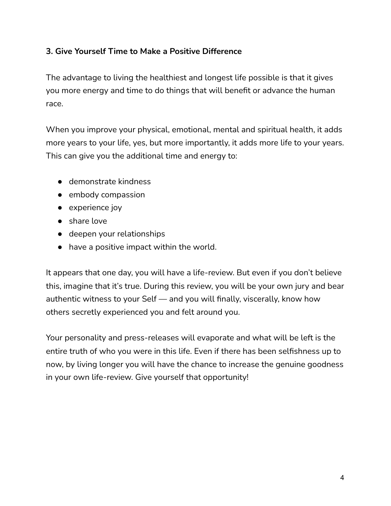# **3. Give Yourself Time to Make a Positive Difference**

The advantage to living the healthiest and longest life possible is that it gives you more energy and time to do things that will benefit or advance the human race.

When you improve your physical, emotional, mental and spiritual health, it adds more years to your life, yes, but more importantly, it adds more life to your years. This can give you the additional time and energy to:

- demonstrate kindness
- embody compassion
- experience joy
- share love
- deepen your relationships
- have a positive impact within the world.

It appears that one day, you will have a life-review. But even if you don't believe this, imagine that it's true. During this review, you will be your own jury and bear authentic witness to your Self — and you will finally, viscerally, know how others secretly experienced you and felt around you.

Your personality and press-releases will evaporate and what will be left is the entire truth of who you were in this life. Even if there has been selfishness up to now, by living longer you will have the chance to increase the genuine goodness in your own life-review. Give yourself that opportunity!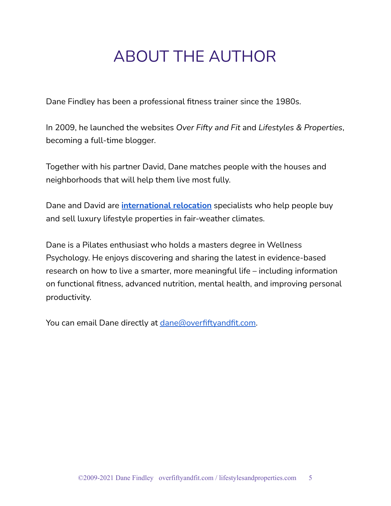# ABOUT THE AUTHOR

Dane Findley has been a professional fitness trainer since the 1980s.

In 2009, he launched the websites *Over Fifty and Fit* and *Lifestyles & Properties*, becoming a full-time blogger.

Together with his partner David, Dane matches people with the houses and neighborhoods that will help them live most fully.

Dane and David are **[international](https://www.lifestylesandproperties.com/resources) relocation** specialists who help people buy and sell luxury lifestyle properties in fair-weather climates.

Dane is a Pilates enthusiast who holds a masters degree in Wellness Psychology. He enjoys discovering and sharing the latest in evidence-based research on how to live a smarter, more meaningful life – including information on functional fitness, advanced nutrition, mental health, and improving personal productivity.

You can email Dane directly at [dane@overfiftyandfit.com](mailto:dane@overfiftyandfit.com).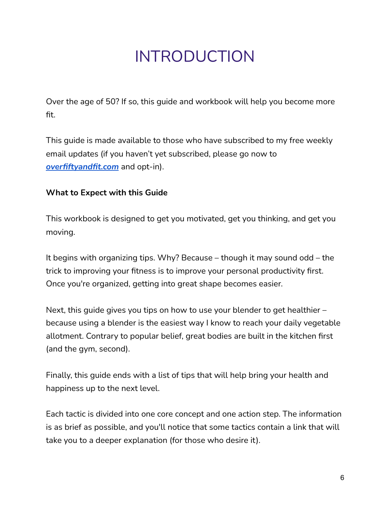# INTRODUCTION

Over the age of 50? If so, this guide and workbook will help you become more fit.

This guide is made available to those who have subscribed to my free weekly email updates (if you haven't yet subscribed, please go now to *[overfiftyandfit.com](https://overfiftyandfit.com/)* and opt-in).

# **What to Expect with this Guide**

This workbook is designed to get you motivated, get you thinking, and get you moving.

It begins with organizing tips. Why? Because – though it may sound odd – the trick to improving your fitness is to improve your personal productivity first. Once you're organized, getting into great shape becomes easier.

Next, this guide gives you tips on how to use your blender to get healthier – because using a blender is the easiest way I know to reach your daily vegetable allotment. Contrary to popular belief, great bodies are built in the kitchen first (and the gym, second).

Finally, this guide ends with a list of tips that will help bring your health and happiness up to the next level.

Each tactic is divided into one core concept and one action step. The information is as brief as possible, and you'll notice that some tactics contain a link that will take you to a deeper explanation (for those who desire it).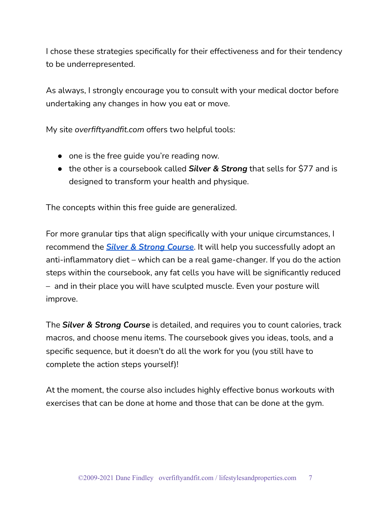I chose these strategies specifically for their effectiveness and for their tendency to be underrepresented.

As always, I strongly encourage you to consult with your medical doctor before undertaking any changes in how you eat or move.

My site *overfiftyandfit.com* offers two helpful tools:

- one is the free guide you're reading now.
- the other is a coursebook called *Silver & Strong* that sells for \$77 and is designed to transform your health and physique.

The concepts within this free guide are generalized.

For more granular tips that align specifically with your unique circumstances, I recommend the *Silver & Strong [Course](https://store.overfiftyandfit.com/)*. It will help you successfully adopt an anti-inflammatory diet – which can be a real game-changer. If you do the action steps within the coursebook, any fat cells you have will be significantly reduced – and in their place you will have sculpted muscle. Even your posture will improve.

The *Silver & Strong Course* is detailed, and requires you to count calories, track macros, and choose menu items. The coursebook gives you ideas, tools, and a specific sequence, but it doesn't do all the work for you (you still have to complete the action steps yourself)!

At the moment, the course also includes highly effective bonus workouts with exercises that can be done at home and those that can be done at the gym.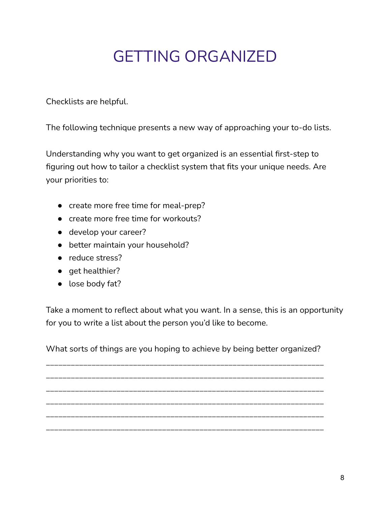# GETTING ORGANIZED

Checklists are helpful.

The following technique presents a new way of approaching your to-do lists.

Understanding why you want to get organized is an essential first-step to figuring out how to tailor a checklist system that fits your unique needs. Are your priorities to:

- create more free time for meal-prep?
- create more free time for workouts?
- develop your career?
- better maintain your household?
- reduce stress?
- get healthier?
- lose body fat?

Take a moment to reflect about what you want. In a sense, this is an opportunity for you to write a list about the person you'd like to become.

What sorts of things are you hoping to achieve by being better organized?

\_\_\_\_\_\_\_\_\_\_\_\_\_\_\_\_\_\_\_\_\_\_\_\_\_\_\_\_\_\_\_\_\_\_\_\_\_\_\_\_\_\_\_\_\_\_\_\_\_\_\_\_\_\_\_\_\_\_\_\_\_\_\_\_\_\_\_

\_\_\_\_\_\_\_\_\_\_\_\_\_\_\_\_\_\_\_\_\_\_\_\_\_\_\_\_\_\_\_\_\_\_\_\_\_\_\_\_\_\_\_\_\_\_\_\_\_\_\_\_\_\_\_\_\_\_\_\_\_\_\_\_\_\_\_ \_\_\_\_\_\_\_\_\_\_\_\_\_\_\_\_\_\_\_\_\_\_\_\_\_\_\_\_\_\_\_\_\_\_\_\_\_\_\_\_\_\_\_\_\_\_\_\_\_\_\_\_\_\_\_\_\_\_\_\_\_\_\_\_\_\_\_ \_\_\_\_\_\_\_\_\_\_\_\_\_\_\_\_\_\_\_\_\_\_\_\_\_\_\_\_\_\_\_\_\_\_\_\_\_\_\_\_\_\_\_\_\_\_\_\_\_\_\_\_\_\_\_\_\_\_\_\_\_\_\_\_\_\_\_ \_\_\_\_\_\_\_\_\_\_\_\_\_\_\_\_\_\_\_\_\_\_\_\_\_\_\_\_\_\_\_\_\_\_\_\_\_\_\_\_\_\_\_\_\_\_\_\_\_\_\_\_\_\_\_\_\_\_\_\_\_\_\_\_\_\_\_ \_\_\_\_\_\_\_\_\_\_\_\_\_\_\_\_\_\_\_\_\_\_\_\_\_\_\_\_\_\_\_\_\_\_\_\_\_\_\_\_\_\_\_\_\_\_\_\_\_\_\_\_\_\_\_\_\_\_\_\_\_\_\_\_\_\_\_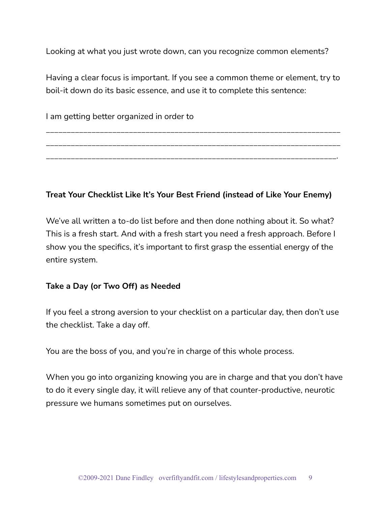Looking at what you just wrote down, can you recognize common elements?

Having a clear focus is important. If you see a common theme or element, try to boil-it down do its basic essence, and use it to complete this sentence:

\_\_\_\_\_\_\_\_\_\_\_\_\_\_\_\_\_\_\_\_\_\_\_\_\_\_\_\_\_\_\_\_\_\_\_\_\_\_\_\_\_\_\_\_\_\_\_\_\_\_\_\_\_\_\_\_\_\_\_\_\_\_\_\_\_\_\_\_\_\_\_

\_\_\_\_\_\_\_\_\_\_\_\_\_\_\_\_\_\_\_\_\_\_\_\_\_\_\_\_\_\_\_\_\_\_\_\_\_\_\_\_\_\_\_\_\_\_\_\_\_\_\_\_\_\_\_\_\_\_\_\_\_\_\_\_\_\_\_\_\_\_\_

\_\_\_\_\_\_\_\_\_\_\_\_\_\_\_\_\_\_\_\_\_\_\_\_\_\_\_\_\_\_\_\_\_\_\_\_\_\_\_\_\_\_\_\_\_\_\_\_\_\_\_\_\_\_\_\_\_\_\_\_\_\_\_\_\_\_\_\_\_\_.

I am getting better organized in order to

**Treat Your Checklist Like It's Your Best Friend (instead of Like Your Enemy)**

We've all written a to-do list before and then done nothing about it. So what? This is a fresh start. And with a fresh start you need a fresh approach. Before I show you the specifics, it's important to first grasp the essential energy of the entire system.

# **Take a Day (or Two Off) as Needed**

If you feel a strong aversion to your checklist on a particular day, then don't use the checklist. Take a day off.

You are the boss of you, and you're in charge of this whole process.

When you go into organizing knowing you are in charge and that you don't have to do it every single day, it will relieve any of that counter-productive, neurotic pressure we humans sometimes put on ourselves.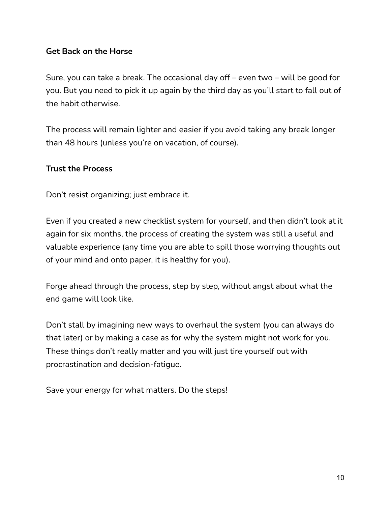# **Get Back on the Horse**

Sure, you can take a break. The occasional day off – even two – will be good for you. But you need to pick it up again by the third day as you'll start to fall out of the habit otherwise.

The process will remain lighter and easier if you avoid taking any break longer than 48 hours (unless you're on vacation, of course).

#### **Trust the Process**

Don't resist organizing; just embrace it.

Even if you created a new checklist system for yourself, and then didn't look at it again for six months, the process of creating the system was still a useful and valuable experience (any time you are able to spill those worrying thoughts out of your mind and onto paper, it is healthy for you).

Forge ahead through the process, step by step, without angst about what the end game will look like.

Don't stall by imagining new ways to overhaul the system (you can always do that later) or by making a case as for why the system might not work for you. These things don't really matter and you will just tire yourself out with procrastination and decision-fatigue.

Save your energy for what matters. Do the steps!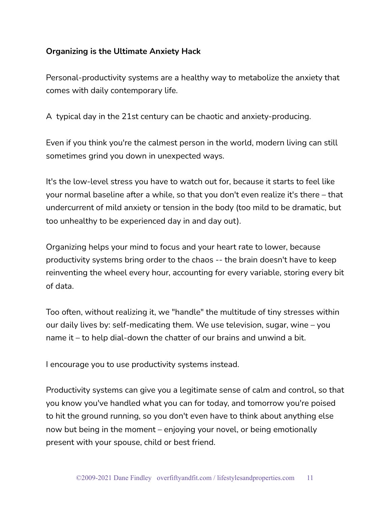# **Organizing is the Ultimate Anxiety Hack**

Personal-productivity systems are a healthy way to metabolize the anxiety that comes with daily contemporary life.

A typical day in the 21st century can be chaotic and anxiety-producing.

Even if you think you're the calmest person in the world, modern living can still sometimes grind you down in unexpected ways.

It's the low-level stress you have to watch out for, because it starts to feel like your normal baseline after a while, so that you don't even realize it's there – that undercurrent of mild anxiety or tension in the body (too mild to be dramatic, but too unhealthy to be experienced day in and day out).

Organizing helps your mind to focus and your heart rate to lower, because productivity systems bring order to the chaos -- the brain doesn't have to keep reinventing the wheel every hour, accounting for every variable, storing every bit of data.

Too often, without realizing it, we "handle" the multitude of tiny stresses within our daily lives by: self-medicating them. We use television, sugar, wine – you name it – to help dial-down the chatter of our brains and unwind a bit.

I encourage you to use productivity systems instead.

Productivity systems can give you a legitimate sense of calm and control, so that you know you've handled what you can for today, and tomorrow you're poised to hit the ground running, so you don't even have to think about anything else now but being in the moment – enjoying your novel, or being emotionally present with your spouse, child or best friend.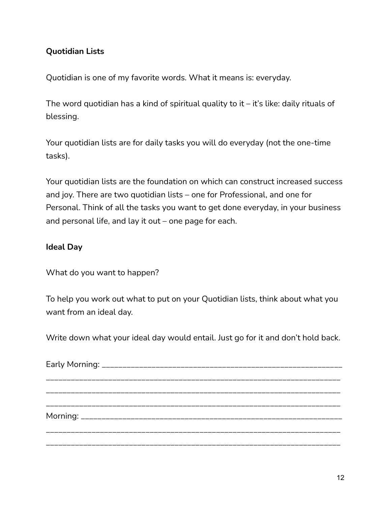# **Quotidian Lists**

Quotidian is one of my favorite words. What it means is: everyday.

The word quotidian has a kind of spiritual quality to it  $-$  it's like: daily rituals of blessing.

Your quotidian lists are for daily tasks you will do everyday (not the one-time tasks).

Your quotidian lists are the foundation on which can construct increased success and joy. There are two quotidian lists – one for Professional, and one for Personal. Think of all the tasks you want to get done everyday, in your business and personal life, and lay it out – one page for each.

# **Ideal Day**

What do you want to happen?

To help you work out what to put on your Quotidian lists, think about what you want from an ideal day.

Write down what your ideal day would entail. Just go for it and don't hold back.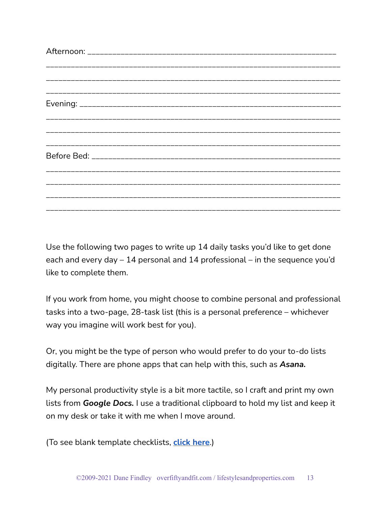Use the following two pages to write up 14 daily tasks you'd like to get done each and every day – 14 personal and 14 professional – in the sequence you'd like to complete them.

If you work from home, you might choose to combine personal and professional tasks into a two-page, 28-task list (this is a personal preference – whichever way you imagine will work best for you).

Or, you might be the type of person who would prefer to do your to-do lists digitally. There are phone apps that can help with this, such as *Asana.*

My personal productivity style is a bit more tactile, so I craft and print my own lists from *Google Docs.* I use a traditional clipboard to hold my list and keep it on my desk or take it with me when I move around.

(To see blank template checklists, **[click](https://docs.google.com/document/d/19e7RZ5sQ7rc0tEMqul_zf1BzvQgCi6av2Dtzu3GsvmE/edit?usp=sharing) here**.)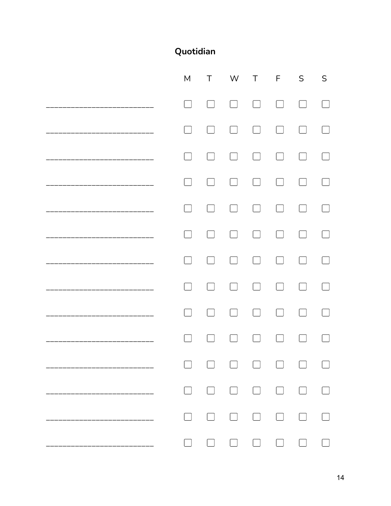# Quotidian

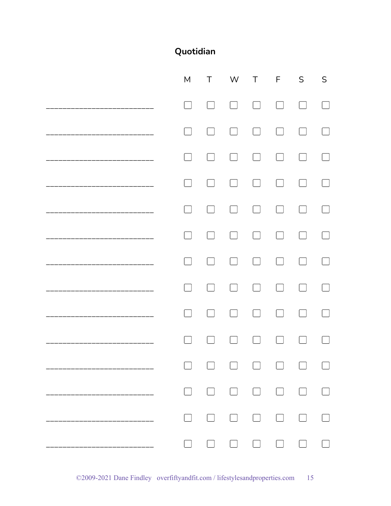# Quotidian

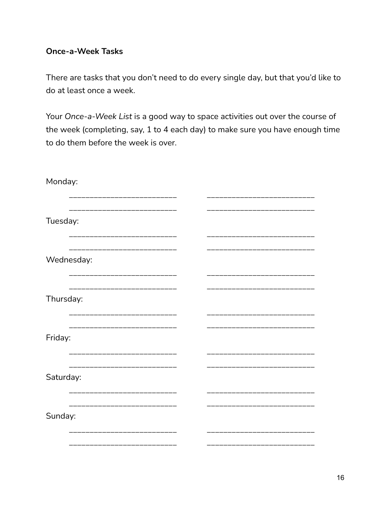# **Once-a-Week Tasks**

There are tasks that you don't need to do every single day, but that you'd like to do at least once a week.

Your Once-a-Week List is a good way to space activities out over the course of the week (completing, say, 1 to 4 each day) to make sure you have enough time to do them before the week is over.

| Monday:                 |  |
|-------------------------|--|
| Tuesday:                |  |
| Wednesday:              |  |
| Thursday:               |  |
| ____________<br>Friday: |  |
| Saturday:               |  |
| Sunday:                 |  |
|                         |  |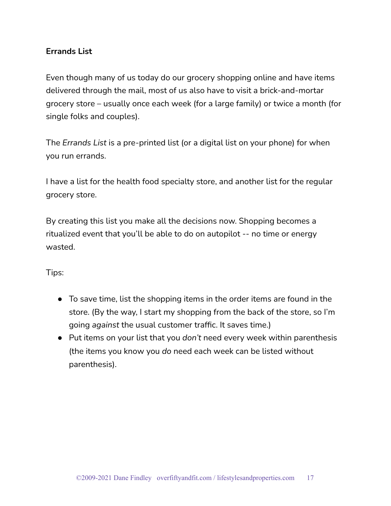# **Errands List**

Even though many of us today do our grocery shopping online and have items delivered through the mail, most of us also have to visit a brick-and-mortar grocery store – usually once each week (for a large family) or twice a month (for single folks and couples).

The *Errands List* is a pre-printed list (or a digital list on your phone) for when you run errands.

I have a list for the health food specialty store, and another list for the regular grocery store.

By creating this list you make all the decisions now. Shopping becomes a ritualized event that you'll be able to do on autopilot -- no time or energy wasted.

Tips:

- To save time, list the shopping items in the order items are found in the store. (By the way, I start my shopping from the back of the store, so I'm going *against* the usual customer traffic. It saves time.)
- Put items on your list that you *don't* need every week within parenthesis (the items you know you *do* need each week can be listed without parenthesis).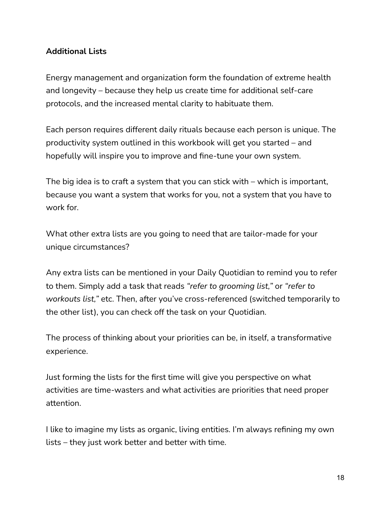# **Additional Lists**

Energy management and organization form the foundation of extreme health and longevity – because they help us create time for additional self-care protocols, and the increased mental clarity to habituate them.

Each person requires different daily rituals because each person is unique. The productivity system outlined in this workbook will get you started – and hopefully will inspire you to improve and fine-tune your own system.

The big idea is to craft a system that you can stick with – which is important, because you want a system that works for you, not a system that you have to work for.

What other extra lists are you going to need that are tailor-made for your unique circumstances?

Any extra lists can be mentioned in your Daily Quotidian to remind you to refer to them. Simply add a task that reads *"refer to grooming list,"* or *"refer to workouts list,"* etc. Then, after you've cross-referenced (switched temporarily to the other list), you can check off the task on your Quotidian.

The process of thinking about your priorities can be, in itself, a transformative experience.

Just forming the lists for the first time will give you perspective on what activities are time-wasters and what activities are priorities that need proper attention.

I like to imagine my lists as organic, living entities. I'm always refining my own lists – they just work better and better with time.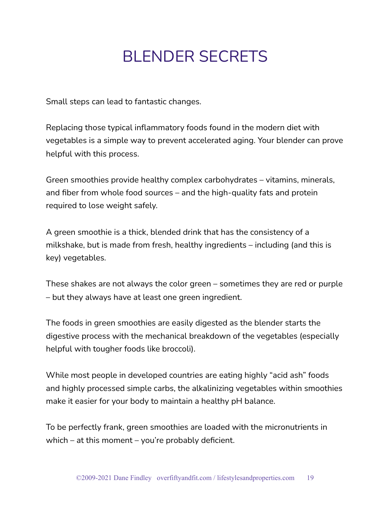# BLENDER SECRETS

Small steps can lead to fantastic changes.

Replacing those typical inflammatory foods found in the modern diet with vegetables is a simple way to prevent accelerated aging. Your blender can prove helpful with this process.

Green smoothies provide healthy complex carbohydrates – vitamins, minerals, and fiber from whole food sources – and the high-quality fats and protein required to lose weight safely.

A green smoothie is a thick, blended drink that has the consistency of a milkshake, but is made from fresh, healthy ingredients – including (and this is key) vegetables.

These shakes are not always the color green – sometimes they are red or purple – but they always have at least one green ingredient.

The foods in green smoothies are easily digested as the blender starts the digestive process with the mechanical breakdown of the vegetables (especially helpful with tougher foods like broccoli).

While most people in developed countries are eating highly "acid ash" foods and highly processed simple carbs, the alkalinizing vegetables within smoothies make it easier for your body to maintain a healthy pH balance.

To be perfectly frank, green smoothies are loaded with the micronutrients in which – at this moment – you're probably deficient.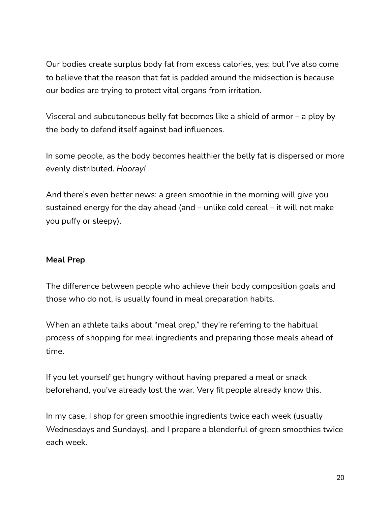Our bodies create surplus body fat from excess calories, yes; but I've also come to believe that the reason that fat is padded around the midsection is because our bodies are trying to protect vital organs from irritation.

Visceral and subcutaneous belly fat becomes like a shield of armor – a ploy by the body to defend itself against bad influences.

In some people, as the body becomes healthier the belly fat is dispersed or more evenly distributed. *Hooray!*

And there's even better news: a green smoothie in the morning will give you sustained energy for the day ahead (and – unlike cold cereal – it will not make you puffy or sleepy).

# **Meal Prep**

The difference between people who achieve their body composition goals and those who do not, is usually found in meal preparation habits.

When an athlete talks about "meal prep," they're referring to the habitual process of shopping for meal ingredients and preparing those meals ahead of time.

If you let yourself get hungry without having prepared a meal or snack beforehand, you've already lost the war. Very fit people already know this.

In my case, I shop for green smoothie ingredients twice each week (usually Wednesdays and Sundays), and I prepare a blenderful of green smoothies twice each week.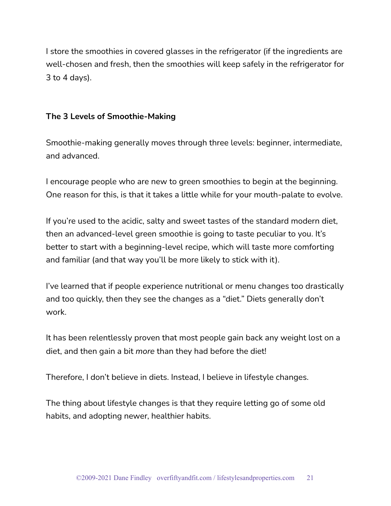I store the smoothies in covered glasses in the refrigerator (if the ingredients are well-chosen and fresh, then the smoothies will keep safely in the refrigerator for 3 to 4 days).

## **The 3 Levels of Smoothie-Making**

Smoothie-making generally moves through three levels: beginner, intermediate, and advanced.

I encourage people who are new to green smoothies to begin at the beginning. One reason for this, is that it takes a little while for your mouth-palate to evolve.

If you're used to the acidic, salty and sweet tastes of the standard modern diet, then an advanced-level green smoothie is going to taste peculiar to you. It's better to start with a beginning-level recipe, which will taste more comforting and familiar (and that way you'll be more likely to stick with it).

I've learned that if people experience nutritional or menu changes too drastically and too quickly, then they see the changes as a "diet." Diets generally don't work.

It has been relentlessly proven that most people gain back any weight lost on a diet, and then gain a bit *more* than they had before the diet!

Therefore, I don't believe in diets. Instead, I believe in lifestyle changes.

The thing about lifestyle changes is that they require letting go of some old habits, and adopting newer, healthier habits.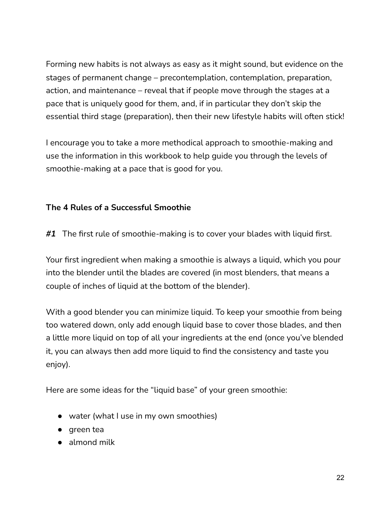Forming new habits is not always as easy as it might sound, but evidence on the stages of permanent change – precontemplation, contemplation, preparation, action, and maintenance – reveal that if people move through the stages at a pace that is uniquely good for them, and, if in particular they don't skip the essential third stage (preparation), then their new lifestyle habits will often stick!

I encourage you to take a more methodical approach to smoothie-making and use the information in this workbook to help guide you through the levels of smoothie-making at a pace that is good for you.

# **The 4 Rules of a Successful Smoothie**

*#1* The first rule of smoothie-making is to cover your blades with liquid first.

Your first ingredient when making a smoothie is always a liquid, which you pour into the blender until the blades are covered (in most blenders, that means a couple of inches of liquid at the bottom of the blender).

With a good blender you can minimize liquid. To keep your smoothie from being too watered down, only add enough liquid base to cover those blades, and then a little more liquid on top of all your ingredients at the end (once you've blended it, you can always then add more liquid to find the consistency and taste you enjoy).

Here are some ideas for the "liquid base" of your green smoothie:

- water (what I use in my own smoothies)
- green tea
- almond milk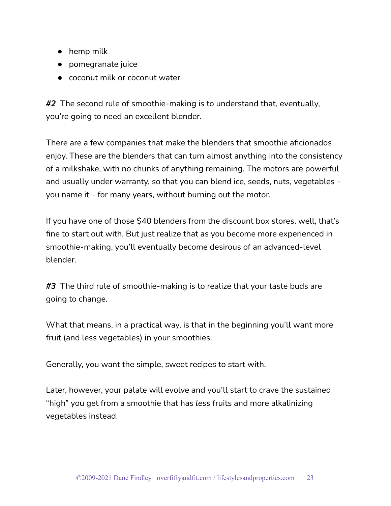- hemp milk
- pomegranate juice
- coconut milk or coconut water

*#2* The second rule of smoothie-making is to understand that, eventually, you're going to need an excellent blender.

There are a few companies that make the blenders that smoothie aficionados enjoy. These are the blenders that can turn almost anything into the consistency of a milkshake, with no chunks of anything remaining. The motors are powerful and usually under warranty, so that you can blend ice, seeds, nuts, vegetables – you name it – for many years, without burning out the motor.

If you have one of those \$40 blenders from the discount box stores, well, that's fine to start out with. But just realize that as you become more experienced in smoothie-making, you'll eventually become desirous of an advanced-level blender.

*#3* The third rule of smoothie-making is to realize that your taste buds are going to change.

What that means, in a practical way, is that in the beginning you'll want more fruit (and less vegetables) in your smoothies.

Generally, you want the simple, sweet recipes to start with.

Later, however, your palate will evolve and you'll start to crave the sustained "high" you get from a smoothie that has *less* fruits and more alkalinizing vegetables instead.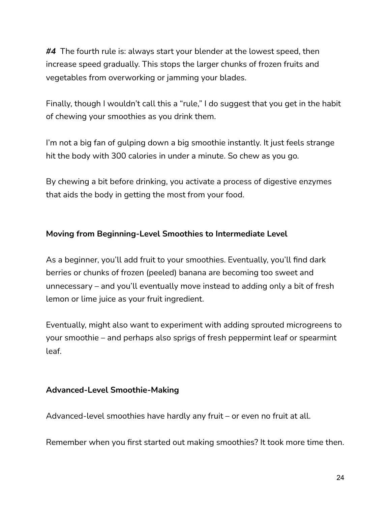*#4* The fourth rule is: always start your blender at the lowest speed, then increase speed gradually. This stops the larger chunks of frozen fruits and vegetables from overworking or jamming your blades.

Finally, though I wouldn't call this a "rule," I do suggest that you get in the habit of chewing your smoothies as you drink them.

I'm not a big fan of gulping down a big smoothie instantly. It just feels strange hit the body with 300 calories in under a minute. So chew as you go.

By chewing a bit before drinking, you activate a process of digestive enzymes that aids the body in getting the most from your food.

# **Moving from Beginning-Level Smoothies to Intermediate Level**

As a beginner, you'll add fruit to your smoothies. Eventually, you'll find dark berries or chunks of frozen (peeled) banana are becoming too sweet and unnecessary – and you'll eventually move instead to adding only a bit of fresh lemon or lime juice as your fruit ingredient.

Eventually, might also want to experiment with adding sprouted microgreens to your smoothie – and perhaps also sprigs of fresh peppermint leaf or spearmint leaf.

#### **Advanced-Level Smoothie-Making**

Advanced-level smoothies have hardly any fruit – or even no fruit at all.

Remember when you first started out making smoothies? It took more time then.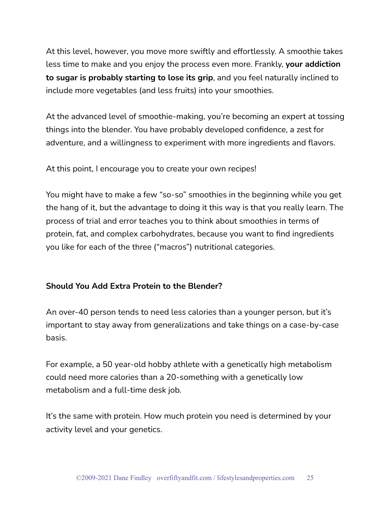At this level, however, you move more swiftly and effortlessly. A smoothie takes less time to make and you enjoy the process even more. Frankly, **your addiction to sugar is probably starting to lose its grip**, and you feel naturally inclined to include more vegetables (and less fruits) into your smoothies.

At the advanced level of smoothie-making, you're becoming an expert at tossing things into the blender. You have probably developed confidence, a zest for adventure, and a willingness to experiment with more ingredients and flavors.

At this point, I encourage you to create your own recipes!

You might have to make a few "so-so" smoothies in the beginning while you get the hang of it, but the advantage to doing it this way is that you really learn. The process of trial and error teaches you to think about smoothies in terms of protein, fat, and complex carbohydrates, because you want to find ingredients you like for each of the three ("macros") nutritional categories.

# **Should You Add Extra Protein to the Blender?**

An over-40 person tends to need less calories than a younger person, but it's important to stay away from generalizations and take things on a case-by-case basis.

For example, a 50 year-old hobby athlete with a genetically high metabolism could need more calories than a 20-something with a genetically low metabolism and a full-time desk job.

It's the same with protein. How much protein you need is determined by your activity level and your genetics.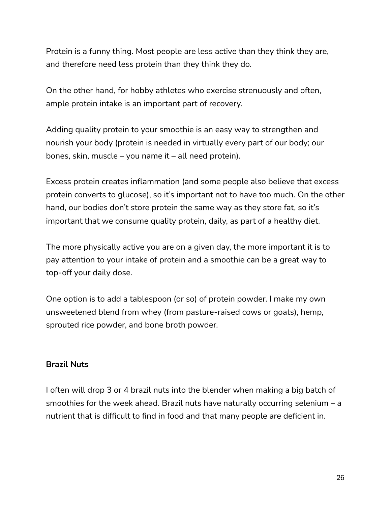Protein is a funny thing. Most people are less active than they think they are, and therefore need less protein than they think they do.

On the other hand, for hobby athletes who exercise strenuously and often, ample protein intake is an important part of recovery.

Adding quality protein to your smoothie is an easy way to strengthen and nourish your body (protein is needed in virtually every part of our body; our bones, skin, muscle – you name it – all need protein).

Excess protein creates inflammation (and some people also believe that excess protein converts to glucose), so it's important not to have too much. On the other hand, our bodies don't store protein the same way as they store fat, so it's important that we consume quality protein, daily, as part of a healthy diet.

The more physically active you are on a given day, the more important it is to pay attention to your intake of protein and a smoothie can be a great way to top-off your daily dose.

One option is to add a tablespoon (or so) of protein powder. I make my own unsweetened blend from whey (from pasture-raised cows or goats), hemp, sprouted rice powder, and bone broth powder.

#### **Brazil Nuts**

I often will drop 3 or 4 brazil nuts into the blender when making a big batch of smoothies for the week ahead. Brazil nuts have naturally occurring selenium – a nutrient that is difficult to find in food and that many people are deficient in.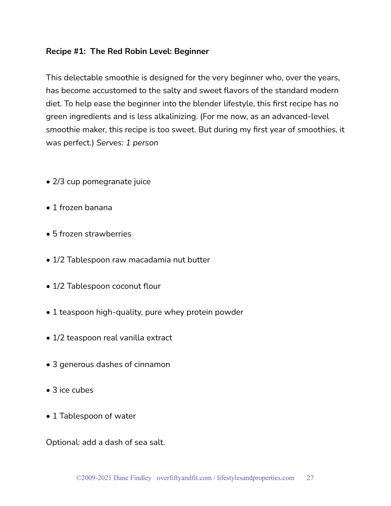## **Recipe #1: The Red Robin Level: Beginner**

This delectable smoothie is designed for the very beginner who, over the years, has become accustomed to the salty and sweet flavors of the standard modern diet. To help ease the beginner into the blender lifestyle, this first recipe has no green ingredients and is less alkalinizing. (For me now, as an advanced-level smoothie maker, this recipe is too sweet. But during my first year of smoothies, it was perfect.) *Serves: 1 person*

- 2/3 cup pomegranate juice
- 1 frozen banana
- 5 frozen strawberries
- 1/2 Tablespoon raw macadamia nut butter
- 1/2 Tablespoon coconut flour
- 1 teaspoon high-quality, pure whey protein powder
- 1/2 teaspoon real vanilla extract
- 3 generous dashes of cinnamon
- 3 ice cubes
- 1 Tablespoon of water

Optional: add a dash of sea salt.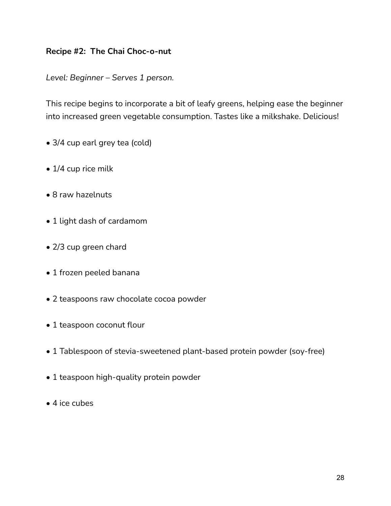# **Recipe #2: The Chai Choc-o-nut**

*Level: Beginner – Serves 1 person.*

This recipe begins to incorporate a bit of leafy greens, helping ease the beginner into increased green vegetable consumption. Tastes like a milkshake. Delicious!

- 3/4 cup earl grey tea (cold)
- 1/4 cup rice milk
- 8 raw hazelnuts
- 1 light dash of cardamom
- 2/3 cup green chard
- 1 frozen peeled banana
- 2 teaspoons raw chocolate cocoa powder
- 1 teaspoon coconut flour
- 1 Tablespoon of stevia-sweetened plant-based protein powder (soy-free)
- 1 teaspoon high-quality protein powder
- 4 ice cubes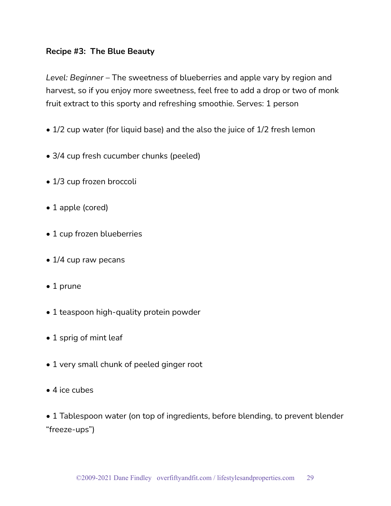## **Recipe #3: The Blue Beauty**

*Level: Beginner* – The sweetness of blueberries and apple vary by region and harvest, so if you enjoy more sweetness, feel free to add a drop or two of monk fruit extract to this sporty and refreshing smoothie. Serves: 1 person

- 1/2 cup water (for liquid base) and the also the juice of 1/2 fresh lemon
- 3/4 cup fresh cucumber chunks (peeled)
- 1/3 cup frozen broccoli
- 1 apple (cored)
- 1 cup frozen blueberries
- 1/4 cup raw pecans
- 1 prune
- 1 teaspoon high-quality protein powder
- 1 sprig of mint leaf
- 1 very small chunk of peeled ginger root
- 4 ice cubes
- 1 Tablespoon water (on top of ingredients, before blending, to prevent blender "freeze-ups")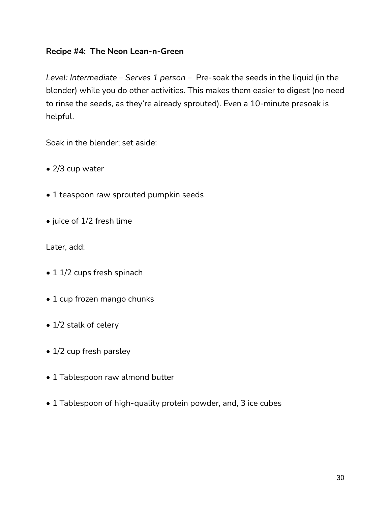# **Recipe #4: The Neon Lean-n-Green**

*Level: Intermediate – Serves 1 person –* Pre-soak the seeds in the liquid (in the blender) while you do other activities. This makes them easier to digest (no need to rinse the seeds, as they're already sprouted). Even a 10-minute presoak is helpful.

Soak in the blender; set aside:

- 2/3 cup water
- 1 teaspoon raw sprouted pumpkin seeds
- juice of 1/2 fresh lime

Later, add:

- 1 1/2 cups fresh spinach
- 1 cup frozen mango chunks
- 1/2 stalk of celery
- 1/2 cup fresh parsley
- 1 Tablespoon raw almond butter
- 1 Tablespoon of high-quality protein powder, and, 3 ice cubes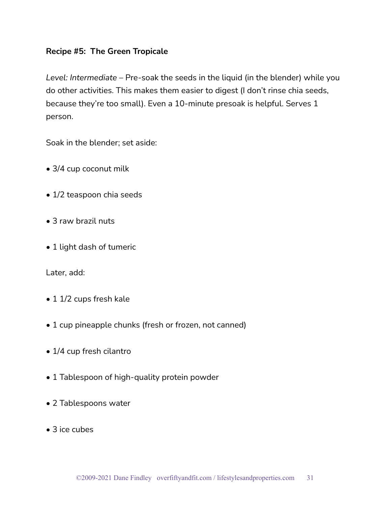## **Recipe #5: The Green Tropicale**

*Level: Intermediate* – Pre-soak the seeds in the liquid (in the blender) while you do other activities. This makes them easier to digest (I don't rinse chia seeds, because they're too small). Even a 10-minute presoak is helpful. Serves 1 person.

Soak in the blender; set aside:

- 3/4 cup coconut milk
- 1/2 teaspoon chia seeds
- 3 raw brazil nuts
- 1 light dash of tumeric

Later, add:

- 1 1/2 cups fresh kale
- 1 cup pineapple chunks (fresh or frozen, not canned)
- 1/4 cup fresh cilantro
- 1 Tablespoon of high-quality protein powder
- 2 Tablespoons water
- 3 ice cubes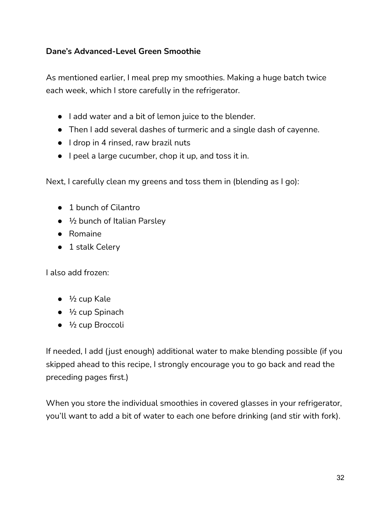# **Dane's Advanced-Level Green Smoothie**

As mentioned earlier, I meal prep my smoothies. Making a huge batch twice each week, which I store carefully in the refrigerator.

- I add water and a bit of lemon juice to the blender.
- Then I add several dashes of turmeric and a single dash of cayenne.
- I drop in 4 rinsed, raw brazil nuts
- I peel a large cucumber, chop it up, and toss it in.

Next, I carefully clean my greens and toss them in (blending as I go):

- 1 bunch of Cilantro
- $\bullet$   $\frac{1}{2}$  bunch of Italian Parsley
- Romaine
- $\bullet$  1 stalk Celery

I also add frozen:

- $\bullet$   $\frac{1}{2}$  cup Kale
- $\bullet\quad 1/2$  cup Spinach
- $\bullet$   $\frac{1}{2}$  cup Broccoli

If needed, I add (just enough) additional water to make blending possible (if you skipped ahead to this recipe, I strongly encourage you to go back and read the preceding pages first.)

When you store the individual smoothies in covered glasses in your refrigerator, you'll want to add a bit of water to each one before drinking (and stir with fork).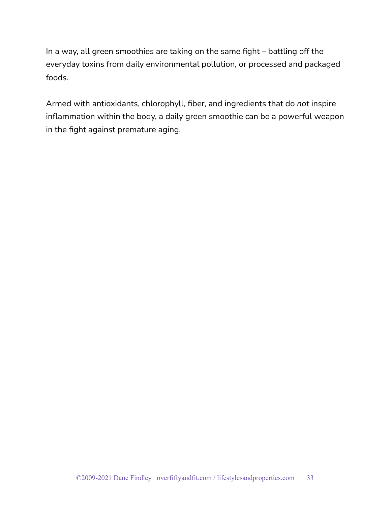In a way, all green smoothies are taking on the same fight – battling off the everyday toxins from daily environmental pollution, or processed and packaged foods.

Armed with antioxidants, chlorophyll, fiber, and ingredients that do *not* inspire inflammation within the body, a daily green smoothie can be a powerful weapon in the fight against premature aging.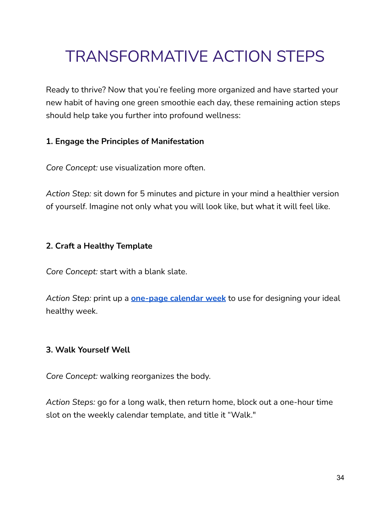# TRANSFORMATIVE ACTION STEPS

Ready to thrive? Now that you're feeling more organized and have started your new habit of having one green smoothie each day, these remaining action steps should help take you further into profound wellness:

# **1. Engage the Principles of Manifestation**

*Core Concept:* use visualization more often.

*Action Step:* sit down for 5 minutes and picture in your mind a healthier version of yourself. Imagine not only what you will look like, but what it will feel like.

# **2. Craft a Healthy Template**

*Core Concept:* start with a blank slate.

*Action Step:* print up a **[one-page](https://www.101planners.com/blank-weekly-calendar/) calendar week** to use for designing your ideal healthy week.

# **3. Walk Yourself Well**

*Core Concept:* walking reorganizes the body.

*Action Steps:* go for a long walk, then return home, block out a one-hour time slot on the weekly calendar template, and title it "Walk."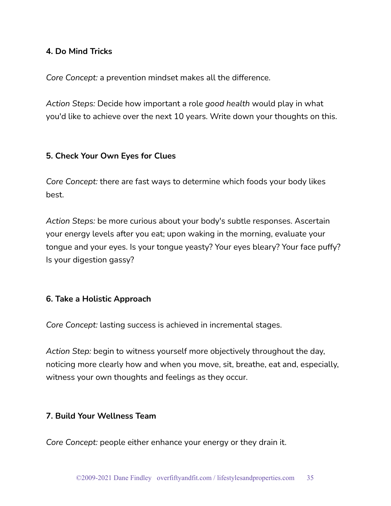# **4. Do Mind Tricks**

*Core Concept:* a prevention mindset makes all the difference.

*Action Steps:* Decide how important a role *good health* would play in what you'd like to achieve over the next 10 years. Write down your thoughts on this.

#### **5. Check Your Own Eyes for Clues**

*Core Concept:* there are fast ways to determine which foods your body likes best.

*Action Steps:* be more curious about your body's subtle responses. Ascertain your energy levels after you eat; upon waking in the morning, evaluate your tongue and your eyes. Is your tongue yeasty? Your eyes bleary? Your face puffy? Is your digestion gassy?

#### **6. Take a Holistic Approach**

*Core Concept:* lasting success is achieved in incremental stages.

*Action Step:* begin to witness yourself more objectively throughout the day, noticing more clearly how and when you move, sit, breathe, eat and, especially, witness your own thoughts and feelings as they occur.

#### **7. Build Your Wellness Team**

*Core Concept:* people either enhance your energy or they drain it.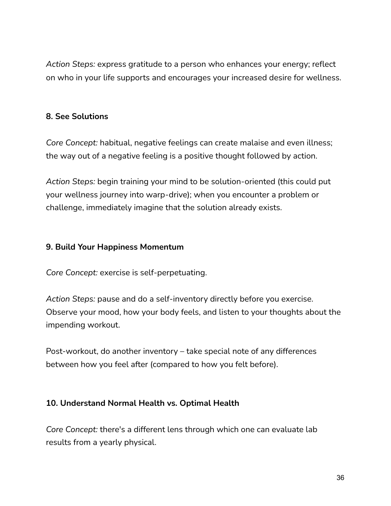*Action Steps:* express gratitude to a person who enhances your energy; reflect on who in your life supports and encourages your increased desire for wellness.

# **8. See Solutions**

*Core Concept:* habitual, negative feelings can create malaise and even illness; the way out of a negative feeling is a positive thought followed by action.

*Action Steps:* begin training your mind to be solution-oriented (this could put your wellness journey into warp-drive); when you encounter a problem or challenge, immediately imagine that the solution already exists.

#### **9. Build Your Happiness Momentum**

*Core Concept:* exercise is self-perpetuating.

*Action Steps:* pause and do a self-inventory directly before you exercise. Observe your mood, how your body feels, and listen to your thoughts about the impending workout.

Post-workout, do another inventory – take special note of any differences between how you feel after (compared to how you felt before).

# **10. Understand Normal Health vs. Optimal Health**

*Core Concept:* there's a different lens through which one can evaluate lab results from a yearly physical.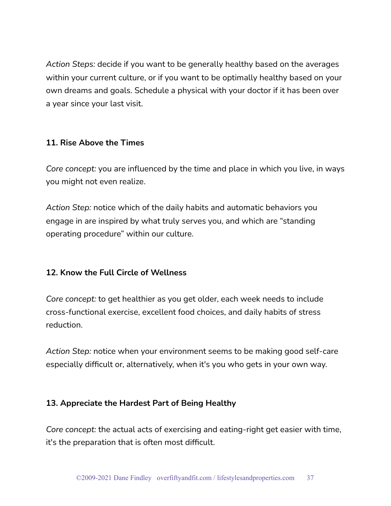*Action Steps:* decide if you want to be generally healthy based on the averages within your current culture, or if you want to be optimally healthy based on your own dreams and goals. Schedule a physical with your doctor if it has been over a year since your last visit.

# **11. Rise Above the Times**

*Core concept:* you are influenced by the time and place in which you live, in ways you might not even realize.

*Action Step:* notice which of the daily habits and automatic behaviors you engage in are inspired by what truly serves you, and which are "standing operating procedure" within our culture.

# **12. Know the Full Circle of Wellness**

*Core concept:* to get healthier as you get older, each week needs to include cross-functional exercise, excellent food choices, and daily habits of stress reduction.

*Action Step:* notice when your environment seems to be making good self-care especially difficult or, alternatively, when it's you who gets in your own way.

# **13. Appreciate the Hardest Part of Being Healthy**

*Core concept:* the actual acts of exercising and eating-right get easier with time, it's the preparation that is often most difficult.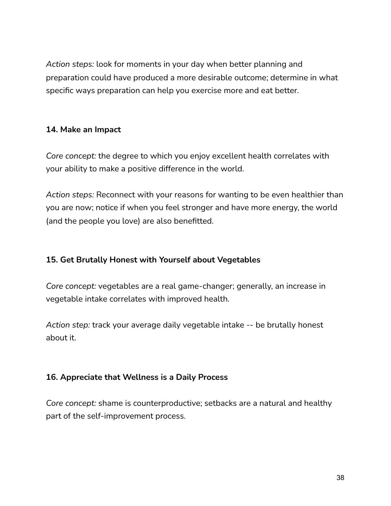*Action steps:* look for moments in your day when better planning and preparation could have produced a more desirable outcome; determine in what specific ways preparation can help you exercise more and eat better.

# **14. Make an Impact**

*Core concept:* the degree to which you enjoy excellent health correlates with your ability to make a positive difference in the world.

*Action steps:* Reconnect with your reasons for wanting to be even healthier than you are now; notice if when you feel stronger and have more energy, the world (and the people you love) are also benefitted.

# **15. Get Brutally Honest with Yourself about Vegetables**

*Core concept:* vegetables are a real game-changer; generally, an increase in vegetable intake correlates with improved health.

*Action step:* track your average daily vegetable intake -- be brutally honest about it.

# **16. Appreciate that Wellness is a Daily Process**

*Core concept:* shame is counterproductive; setbacks are a natural and healthy part of the self-improvement process.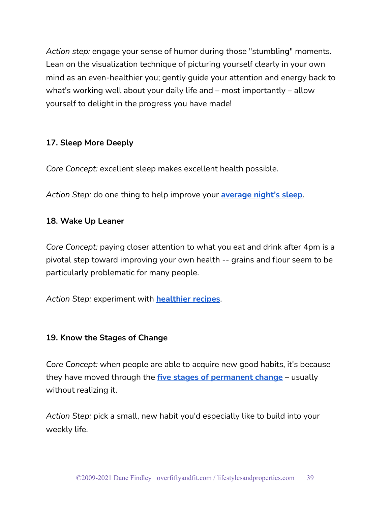*Action step:* engage your sense of humor during those "stumbling" moments. Lean on the visualization technique of picturing yourself clearly in your own mind as an even-healthier you; gently guide your attention and energy back to what's working well about your daily life and – most importantly – allow yourself to delight in the progress you have made!

# **17. Sleep More Deeply**

*Core Concept:* excellent sleep makes excellent health possible.

*Action Step:* do one thing to help improve your **[average](https://overfiftyandfit.com/posture-weight-factors/) night's sleep**.

# **18. Wake Up Leaner**

*Core Concept:* paying closer attention to what you eat and drink after 4pm is a pivotal step toward improving your own health -- grains and flour seem to be particularly problematic for many people.

*Action Step:* experiment with **[healthier](https://overfiftyandfit.com/health-protocols/) recipes**.

# **19. Know the Stages of Change**

*Core Concept:* when people are able to acquire new good habits, it's because they have moved through the **five stages of [permanent](https://overfiftyandfit.com/personal-productivity/) change** – usually without realizing it.

*Action Step:* pick a small, new habit you'd especially like to build into your weekly life.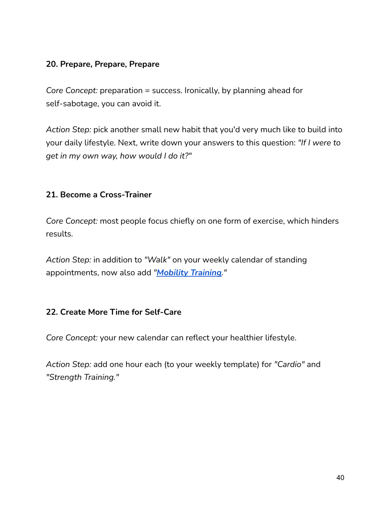# **20. Prepare, Prepare, Prepare**

*Core Concept:* preparation = success. Ironically, by planning ahead for self-sabotage, you can avoid it.

*Action Step:* pick another small new habit that you'd very much like to build into your daily lifestyle. Next, write down your answers to this question: *"If I were to get in my own way, how would I do it?"*

# **21. Become a Cross-Trainer**

*Core Concept:* most people focus chiefly on one form of exercise, which hinders results.

*Action Step:* in addition to *"Walk"* on your weekly calendar of standing appointments, now also add *"[Mobility](https://overfiftyandfit.com/mobility-maneuvers-joints-supple/) Training."*

# **22. Create More Time for Self-Care**

*Core Concept:* your new calendar can reflect your healthier lifestyle.

*Action Step:* add one hour each (to your weekly template) for *"Cardio"* and *"Strength Training."*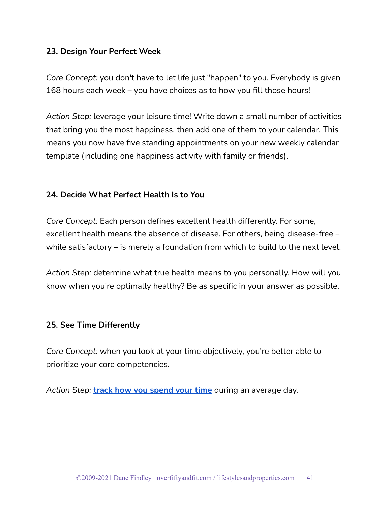#### **23. Design Your Perfect Week**

*Core Concept:* you don't have to let life just "happen" to you. Everybody is given 168 hours each week – you have choices as to how you fill those hours!

*Action Step:* leverage your leisure time! Write down a small number of activities that bring you the most happiness, then add one of them to your calendar. This means you now have five standing appointments on your new weekly calendar template (including one happiness activity with family or friends).

#### **24. Decide What Perfect Health Is to You**

*Core Concept:* Each person defines excellent health differently. For some, excellent health means the absence of disease. For others, being disease-free – while satisfactory – is merely a foundation from which to build to the next level.

*Action Step:* determine what true health means to you personally. How will you know when you're optimally healthy? Be as specific in your answer as possible.

#### **25. See Time Differently**

*Core Concept:* when you look at your time objectively, you're better able to prioritize your core competencies.

*Action Step:* **track how you [spend](https://lauravanderkam.com/manage-your-time/) your time** during an average day.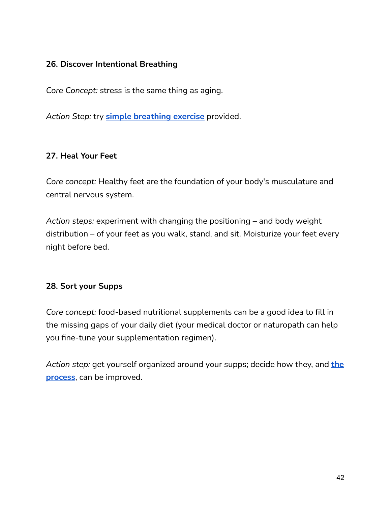# **26. Discover Intentional Breathing**

*Core Concept:* stress is the same thing as aging.

*Action Step:* try **simple [breathing](https://overfiftyandfit.com/calm-nervous-system/) exercise** provided.

# **27. Heal Your Feet**

*Core concept:* Healthy feet are the foundation of your body's musculature and central nervous system.

*Action steps:* experiment with changing the positioning – and body weight distribution – of your feet as you walk, stand, and sit. Moisturize your feet every night before bed.

# **28. Sort your Supps**

*Core concept:* food-based nutritional supplements can be a good idea to fill in the missing gaps of your daily diet (your medical doctor or naturopath can help you fine-tune your supplementation regimen).

*Action step:* get yourself organized around your supps; decide how they, and **[the](https://overfiftyandfit.com/supplements/) [process](https://overfiftyandfit.com/supplements/)**, can be improved.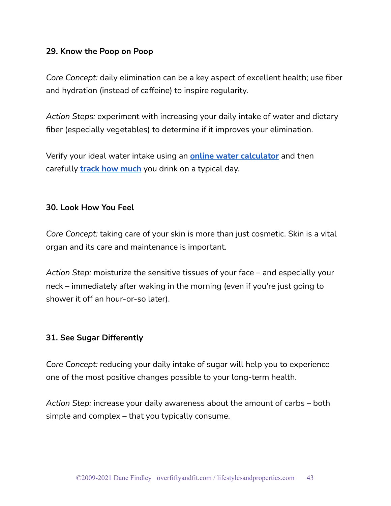#### **29. Know the Poop on Poop**

*Core Concept:* daily elimination can be a key aspect of excellent health; use fiber and hydration (instead of caffeine) to inspire regularity.

*Action Steps:* experiment with increasing your daily intake of water and dietary fiber (especially vegetables) to determine if it improves your elimination.

Verify your ideal water intake using an **online water [calculator](https://www.hydrationforhealth.com/en/hydration-tools/hydration-calculator/)** and then carefully **track how [much](https://www.101planners.com/water-intake-tracker/)** you drink on a typical day.

#### **30. Look How You Feel**

*Core Concept:* taking care of your skin is more than just cosmetic. Skin is a vital organ and its care and maintenance is important.

*Action Step:* moisturize the sensitive tissues of your face – and especially your neck – immediately after waking in the morning (even if you're just going to shower it off an hour-or-so later).

#### **31. See Sugar Differently**

*Core Concept:* reducing your daily intake of sugar will help you to experience one of the most positive changes possible to your long-term health.

*Action Step:* increase your daily awareness about the amount of carbs – both simple and complex – that you typically consume.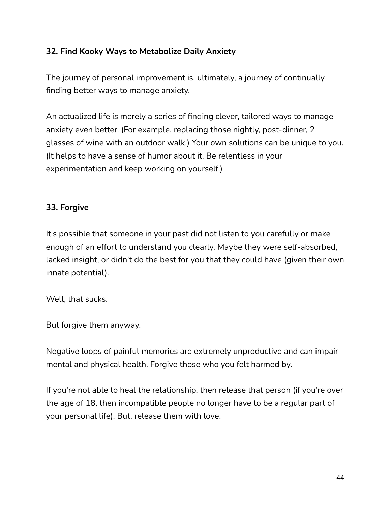# **32. Find Kooky Ways to Metabolize Daily Anxiety**

The journey of personal improvement is, ultimately, a journey of continually finding better ways to manage anxiety.

An actualized life is merely a series of finding clever, tailored ways to manage anxiety even better. (For example, replacing those nightly, post-dinner, 2 glasses of wine with an outdoor walk.) Your own solutions can be unique to you. (It helps to have a sense of humor about it. Be relentless in your experimentation and keep working on yourself.)

# **33. Forgive**

It's possible that someone in your past did not listen to you carefully or make enough of an effort to understand you clearly. Maybe they were self-absorbed, lacked insight, or didn't do the best for you that they could have (given their own innate potential).

Well, that sucks.

But forgive them anyway.

Negative loops of painful memories are extremely unproductive and can impair mental and physical health. Forgive those who you felt harmed by.

If you're not able to heal the relationship, then release that person (if you're over the age of 18, then incompatible people no longer have to be a regular part of your personal life). But, release them with love.